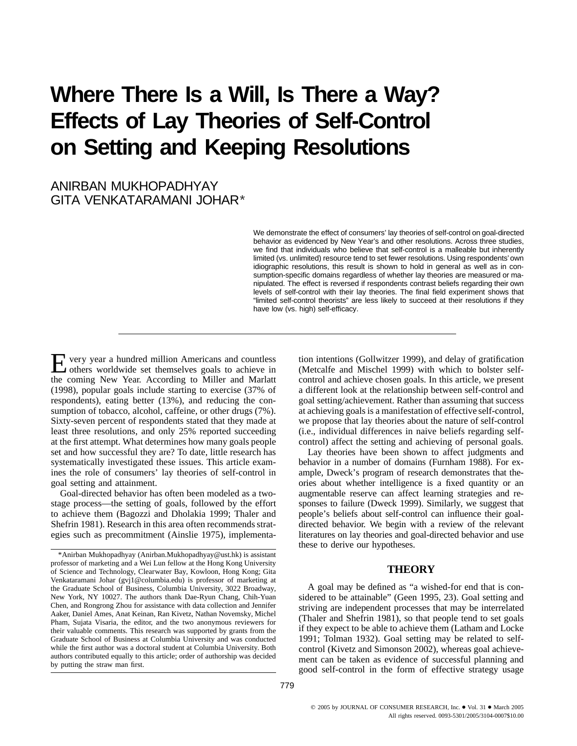# **Where There Is a Will, Is There a Way? Effects of Lay Theories of Self-Control on Setting and Keeping Resolutions**

## ANIRBAN MUKHOPADHYAY GITA VENKATARAMANI JOHAR\*

We demonstrate the effect of consumers' lay theories of self-control on goal-directed behavior as evidenced by New Year's and other resolutions. Across three studies, we find that individuals who believe that self-control is a malleable but inherently limited (vs. unlimited) resource tend to set fewer resolutions. Using respondents' own idiographic resolutions, this result is shown to hold in general as well as in consumption-specific domains regardless of whether lay theories are measured or manipulated. The effect is reversed if respondents contrast beliefs regarding their own levels of self-control with their lay theories. The final field experiment shows that "limited self-control theorists" are less likely to succeed at their resolutions if they have low (vs. high) self-efficacy.

Every year a hundred million Americans and countless others worldwide set themselves goals to achieve in the coming New Year. According to Miller and Marlatt (1998), popular goals include starting to exercise (37% of respondents), eating better (13%), and reducing the consumption of tobacco, alcohol, caffeine, or other drugs (7%). Sixty-seven percent of respondents stated that they made at least three resolutions, and only 25% reported succeeding at the first attempt. What determines how many goals people set and how successful they are? To date, little research has systematically investigated these issues. This article examines the role of consumers' lay theories of self-control in goal setting and attainment.

Goal-directed behavior has often been modeled as a twostage process—the setting of goals, followed by the effort to achieve them (Bagozzi and Dholakia 1999; Thaler and Shefrin 1981). Research in this area often recommends strategies such as precommitment (Ainslie 1975), implementation intentions (Gollwitzer 1999), and delay of gratification (Metcalfe and Mischel 1999) with which to bolster selfcontrol and achieve chosen goals. In this article, we present a different look at the relationship between self-control and goal setting/achievement. Rather than assuming that success at achieving goals is a manifestation of effective self-control, we propose that lay theories about the nature of self-control (i.e., individual differences in naive beliefs regarding selfcontrol) affect the setting and achieving of personal goals.

Lay theories have been shown to affect judgments and behavior in a number of domains (Furnham 1988). For example, Dweck's program of research demonstrates that theories about whether intelligence is a fixed quantity or an augmentable reserve can affect learning strategies and responses to failure (Dweck 1999). Similarly, we suggest that people's beliefs about self-control can influence their goaldirected behavior. We begin with a review of the relevant literatures on lay theories and goal-directed behavior and use these to derive our hypotheses.

## **THEORY**

A goal may be defined as "a wished-for end that is considered to be attainable" (Geen 1995, 23). Goal setting and striving are independent processes that may be interrelated (Thaler and Shefrin 1981), so that people tend to set goals if they expect to be able to achieve them (Latham and Locke 1991; Tolman 1932). Goal setting may be related to selfcontrol (Kivetz and Simonson 2002), whereas goal achievement can be taken as evidence of successful planning and good self-control in the form of effective strategy usage

<sup>\*</sup>Anirban Mukhopadhyay (Anirban.Mukhopadhyay@ust.hk) is assistant professor of marketing and a Wei Lun fellow at the Hong Kong University of Science and Technology, Clearwater Bay, Kowloon, Hong Kong; Gita Venkataramani Johar (gvj1@columbia.edu) is professor of marketing at the Graduate School of Business, Columbia University, 3022 Broadway, New York, NY 10027. The authors thank Dae-Ryun Chang, Chih-Yuan Chen, and Rongrong Zhou for assistance with data collection and Jennifer Aaker, Daniel Ames, Anat Keinan, Ran Kivetz, Nathan Novemsky, Michel Pham, Sujata Visaria, the editor, and the two anonymous reviewers for their valuable comments. This research was supported by grants from the Graduate School of Business at Columbia University and was conducted while the first author was a doctoral student at Columbia University. Both authors contributed equally to this article; order of authorship was decided by putting the straw man first.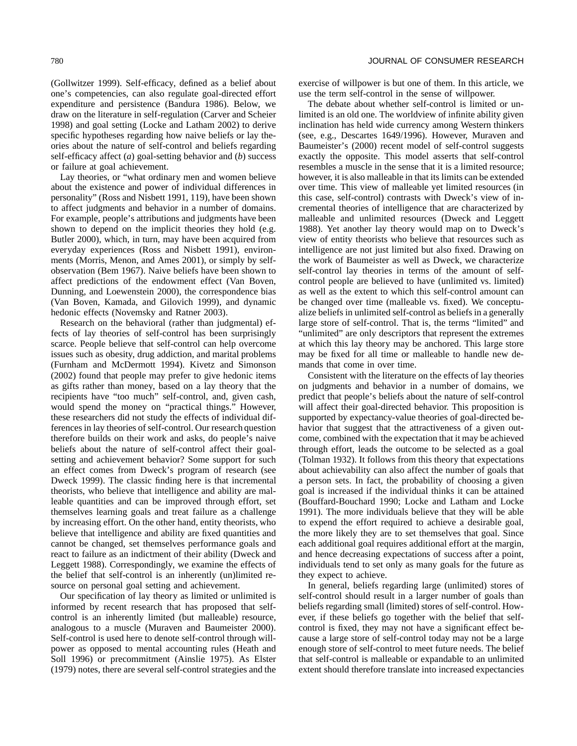(Gollwitzer 1999). Self-efficacy, defined as a belief about one's competencies, can also regulate goal-directed effort expenditure and persistence (Bandura 1986). Below, we draw on the literature in self-regulation (Carver and Scheier 1998) and goal setting (Locke and Latham 2002) to derive specific hypotheses regarding how naive beliefs or lay theories about the nature of self-control and beliefs regarding self-efficacy affect (*a*) goal-setting behavior and (*b*) success or failure at goal achievement.

Lay theories, or "what ordinary men and women believe about the existence and power of individual differences in personality" (Ross and Nisbett 1991, 119), have been shown to affect judgments and behavior in a number of domains. For example, people's attributions and judgments have been shown to depend on the implicit theories they hold (e.g. Butler 2000), which, in turn, may have been acquired from everyday experiences (Ross and Nisbett 1991), environments (Morris, Menon, and Ames 2001), or simply by selfobservation (Bem 1967). Naive beliefs have been shown to affect predictions of the endowment effect (Van Boven, Dunning, and Loewenstein 2000), the correspondence bias (Van Boven, Kamada, and Gilovich 1999), and dynamic hedonic effects (Novemsky and Ratner 2003).

Research on the behavioral (rather than judgmental) effects of lay theories of self-control has been surprisingly scarce. People believe that self-control can help overcome issues such as obesity, drug addiction, and marital problems (Furnham and McDermott 1994). Kivetz and Simonson (2002) found that people may prefer to give hedonic items as gifts rather than money, based on a lay theory that the recipients have "too much" self-control, and, given cash, would spend the money on "practical things." However, these researchers did not study the effects of individual differences in lay theories of self-control. Our research question therefore builds on their work and asks, do people's naive beliefs about the nature of self-control affect their goalsetting and achievement behavior? Some support for such an effect comes from Dweck's program of research (see Dweck 1999). The classic finding here is that incremental theorists, who believe that intelligence and ability are malleable quantities and can be improved through effort, set themselves learning goals and treat failure as a challenge by increasing effort. On the other hand, entity theorists, who believe that intelligence and ability are fixed quantities and cannot be changed, set themselves performance goals and react to failure as an indictment of their ability (Dweck and Leggett 1988). Correspondingly, we examine the effects of the belief that self-control is an inherently (un)limited resource on personal goal setting and achievement.

Our specification of lay theory as limited or unlimited is informed by recent research that has proposed that selfcontrol is an inherently limited (but malleable) resource, analogous to a muscle (Muraven and Baumeister 2000). Self-control is used here to denote self-control through willpower as opposed to mental accounting rules (Heath and Soll 1996) or precommitment (Ainslie 1975). As Elster (1979) notes, there are several self-control strategies and the exercise of willpower is but one of them. In this article, we use the term self-control in the sense of willpower.

The debate about whether self-control is limited or unlimited is an old one. The worldview of infinite ability given inclination has held wide currency among Western thinkers (see, e.g., Descartes 1649/1996). However, Muraven and Baumeister's (2000) recent model of self-control suggests exactly the opposite. This model asserts that self-control resembles a muscle in the sense that it is a limited resource; however, it is also malleable in that its limits can be extended over time. This view of malleable yet limited resources (in this case, self-control) contrasts with Dweck's view of incremental theories of intelligence that are characterized by malleable and unlimited resources (Dweck and Leggett 1988). Yet another lay theory would map on to Dweck's view of entity theorists who believe that resources such as intelligence are not just limited but also fixed. Drawing on the work of Baumeister as well as Dweck, we characterize self-control lay theories in terms of the amount of selfcontrol people are believed to have (unlimited vs. limited) as well as the extent to which this self-control amount can be changed over time (malleable vs. fixed). We conceptualize beliefs in unlimited self-control as beliefs in a generally large store of self-control. That is, the terms "limited" and "unlimited" are only descriptors that represent the extremes at which this lay theory may be anchored. This large store may be fixed for all time or malleable to handle new demands that come in over time.

Consistent with the literature on the effects of lay theories on judgments and behavior in a number of domains, we predict that people's beliefs about the nature of self-control will affect their goal-directed behavior. This proposition is supported by expectancy-value theories of goal-directed behavior that suggest that the attractiveness of a given outcome, combined with the expectation that it may be achieved through effort, leads the outcome to be selected as a goal (Tolman 1932). It follows from this theory that expectations about achievability can also affect the number of goals that a person sets. In fact, the probability of choosing a given goal is increased if the individual thinks it can be attained (Bouffard-Bouchard 1990; Locke and Latham and Locke 1991). The more individuals believe that they will be able to expend the effort required to achieve a desirable goal, the more likely they are to set themselves that goal. Since each additional goal requires additional effort at the margin, and hence decreasing expectations of success after a point, individuals tend to set only as many goals for the future as they expect to achieve.

In general, beliefs regarding large (unlimited) stores of self-control should result in a larger number of goals than beliefs regarding small (limited) stores of self-control. However, if these beliefs go together with the belief that selfcontrol is fixed, they may not have a significant effect because a large store of self-control today may not be a large enough store of self-control to meet future needs. The belief that self-control is malleable or expandable to an unlimited extent should therefore translate into increased expectancies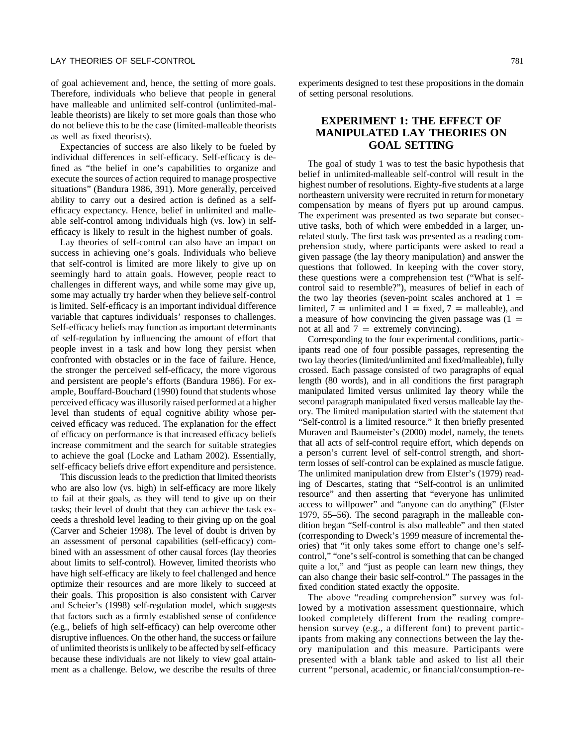of goal achievement and, hence, the setting of more goals. Therefore, individuals who believe that people in general have malleable and unlimited self-control (unlimited-malleable theorists) are likely to set more goals than those who do not believe this to be the case (limited-malleable theorists as well as fixed theorists).

Expectancies of success are also likely to be fueled by individual differences in self-efficacy. Self-efficacy is defined as "the belief in one's capabilities to organize and execute the sources of action required to manage prospective situations" (Bandura 1986, 391). More generally, perceived ability to carry out a desired action is defined as a selfefficacy expectancy. Hence, belief in unlimited and malleable self-control among individuals high (vs. low) in selfefficacy is likely to result in the highest number of goals.

Lay theories of self-control can also have an impact on success in achieving one's goals. Individuals who believe that self-control is limited are more likely to give up on seemingly hard to attain goals. However, people react to challenges in different ways, and while some may give up, some may actually try harder when they believe self-control is limited. Self-efficacy is an important individual difference variable that captures individuals' responses to challenges. Self-efficacy beliefs may function as important determinants of self-regulation by influencing the amount of effort that people invest in a task and how long they persist when confronted with obstacles or in the face of failure. Hence, the stronger the perceived self-efficacy, the more vigorous and persistent are people's efforts (Bandura 1986). For example, Bouffard-Bouchard (1990) found that students whose perceived efficacy was illusorily raised performed at a higher level than students of equal cognitive ability whose perceived efficacy was reduced. The explanation for the effect of efficacy on performance is that increased efficacy beliefs increase commitment and the search for suitable strategies to achieve the goal (Locke and Latham 2002). Essentially, self-efficacy beliefs drive effort expenditure and persistence.

This discussion leads to the prediction that limited theorists who are also low (vs. high) in self-efficacy are more likely to fail at their goals, as they will tend to give up on their tasks; their level of doubt that they can achieve the task exceeds a threshold level leading to their giving up on the goal (Carver and Scheier 1998). The level of doubt is driven by an assessment of personal capabilities (self-efficacy) combined with an assessment of other causal forces (lay theories about limits to self-control). However, limited theorists who have high self-efficacy are likely to feel challenged and hence optimize their resources and are more likely to succeed at their goals. This proposition is also consistent with Carver and Scheier's (1998) self-regulation model, which suggests that factors such as a firmly established sense of confidence (e.g., beliefs of high self-efficacy) can help overcome other disruptive influences. On the other hand, the success or failure of unlimited theorists is unlikely to be affected by self-efficacy because these individuals are not likely to view goal attainment as a challenge. Below, we describe the results of three experiments designed to test these propositions in the domain of setting personal resolutions.

## **EXPERIMENT 1: THE EFFECT OF MANIPULATED LAY THEORIES ON GOAL SETTING**

The goal of study 1 was to test the basic hypothesis that belief in unlimited-malleable self-control will result in the highest number of resolutions. Eighty-five students at a large northeastern university were recruited in return for monetary compensation by means of flyers put up around campus. The experiment was presented as two separate but consecutive tasks, both of which were embedded in a larger, unrelated study. The first task was presented as a reading comprehension study, where participants were asked to read a given passage (the lay theory manipulation) and answer the questions that followed. In keeping with the cover story, these questions were a comprehension test ("What is selfcontrol said to resemble?"), measures of belief in each of the two lay theories (seven-point scales anchored at  $1 =$ limited,  $7 =$  unlimited and  $1 =$  fixed,  $7 =$  malleable), and a measure of how convincing the given passage was  $(1 =$ not at all and  $7 =$  extremely convincing).

Corresponding to the four experimental conditions, participants read one of four possible passages, representing the two lay theories (limited/unlimited and fixed/malleable), fully crossed. Each passage consisted of two paragraphs of equal length (80 words), and in all conditions the first paragraph manipulated limited versus unlimited lay theory while the second paragraph manipulated fixed versus malleable lay theory. The limited manipulation started with the statement that "Self-control is a limited resource." It then briefly presented Muraven and Baumeister's (2000) model, namely, the tenets that all acts of self-control require effort, which depends on a person's current level of self-control strength, and shortterm losses of self-control can be explained as muscle fatigue. The unlimited manipulation drew from Elster's (1979) reading of Descartes, stating that "Self-control is an unlimited resource" and then asserting that "everyone has unlimited access to willpower" and "anyone can do anything" (Elster 1979, 55–56). The second paragraph in the malleable condition began "Self-control is also malleable" and then stated (corresponding to Dweck's 1999 measure of incremental theories) that "it only takes some effort to change one's selfcontrol," "one's self-control is something that can be changed quite a lot," and "just as people can learn new things, they can also change their basic self-control." The passages in the fixed condition stated exactly the opposite.

The above "reading comprehension" survey was followed by a motivation assessment questionnaire, which looked completely different from the reading comprehension survey (e.g., a different font) to prevent participants from making any connections between the lay theory manipulation and this measure. Participants were presented with a blank table and asked to list all their current "personal, academic, or financial/consumption-re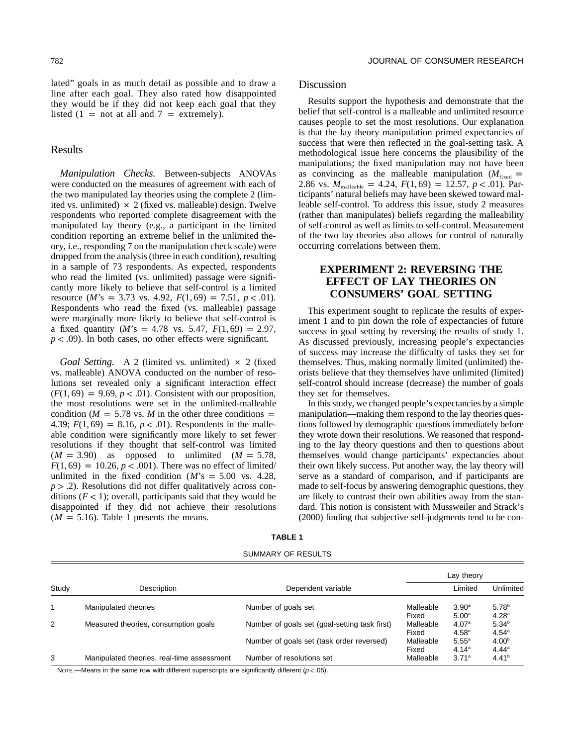lated" goals in as much detail as possible and to draw a line after each goal. They also rated how disappointed they would be if they did not keep each goal that they listed (1 = not at all and 7 = extremely).

## Results

*Manipulation Checks.* Between-subjects ANOVAs were conducted on the measures of agreement with each of the two manipulated lay theories using the complete 2 (limited vs. unlimited)  $\times$  2 (fixed vs. malleable) design. Twelve respondents who reported complete disagreement with the manipulated lay theory (e.g., a participant in the limited condition reporting an extreme belief in the unlimited theory, i.e., responding 7 on the manipulation check scale) were dropped from the analysis (three in each condition), resulting in a sample of 73 respondents. As expected, respondents who read the limited (vs. unlimited) passage were significantly more likely to believe that self-control is a limited resource (*M*'s = 3.73 *vs.* 4.92,  $F(1, 69) = 7.51$ ,  $p < .01$ ). Respondents who read the fixed (vs. malleable) passage were marginally more likely to believe that self-control is a fixed quantity  $(M's = 4.78$  *vs.* 5.47,  $F(1, 69) = 2.97$ ,  $p < .09$ ). In both cases, no other effects were significant.

Goal Setting. A 2 (limited vs. unlimited)  $\times$  2 (fixed vs. malleable) ANOVA conducted on the number of resolutions set revealed only a significant interaction effect  $(F(1, 69) = 9.69, p < .01)$ . Consistent with our proposition, the most resolutions were set in the unlimited-malleable condition ( $M = 5.78$  vs. *M* in the other three conditions = 4.39;  $F(1, 69) = 8.16, p < .01$ ). Respondents in the malleable condition were significantly more likely to set fewer resolutions if they thought that self-control was limited  $(M = 3.90)$  as opposed to unlimited  $(M = 5.78,$  $F(1, 69) = 10.26, p < .001$ . There was no effect of limited/ unlimited in the fixed condition  $(M's = 5.00 \text{ vs. } 4.28,$  $p > 0.2$ ). Resolutions did not differ qualitatively across conditions  $(F < 1)$ ; overall, participants said that they would be disappointed if they did not achieve their resolutions  $(M = 5.16)$ . Table 1 presents the means.

#### Discussion

Results support the hypothesis and demonstrate that the belief that self-control is a malleable and unlimited resource causes people to set the most resolutions. Our explanation is that the lay theory manipulation primed expectancies of success that were then reflected in the goal-setting task. A methodological issue here concerns the plausibility of the manipulations; the fixed manipulation may not have been as convincing as the malleable manipulation ( $M_{\text{fixed}} =$ 2.86 vs.  $M_{\text{malleable}} = 4.24, F(1, 69) = 12.57, p < .01$ ). Participants' natural beliefs may have been skewed toward malleable self-control. To address this issue, study 2 measures (rather than manipulates) beliefs regarding the malleability of self-control as well as limits to self-control. Measurement of the two lay theories also allows for control of naturally occurring correlations between them.

## **EXPERIMENT 2: REVERSING THE EFFECT OF LAY THEORIES ON CONSUMERS' GOAL SETTING**

This experiment sought to replicate the results of experiment 1 and to pin down the role of expectancies of future success in goal setting by reversing the results of study 1. As discussed previously, increasing people's expectancies of success may increase the difficulty of tasks they set for themselves. Thus, making normally limited (unlimited) theorists believe that they themselves have unlimited (limited) self-control should increase (decrease) the number of goals they set for themselves.

In this study, we changed people's expectancies by a simple manipulation—making them respond to the lay theories questions followed by demographic questions immediately before they wrote down their resolutions. We reasoned that responding to the lay theory questions and then to questions about themselves would change participants' expectancies about their own likely success. Put another way, the lay theory will serve as a standard of comparison, and if participants are made to self-focus by answering demographic questions, they are likely to contrast their own abilities away from the standard. This notion is consistent with Mussweiler and Strack's (2000) finding that subjective self-judgments tend to be con-

| Study  | Description                                | Dependent variable                            | Lay theory         |                                     |                                     |
|--------|--------------------------------------------|-----------------------------------------------|--------------------|-------------------------------------|-------------------------------------|
|        |                                            |                                               |                    | Limited                             | Unlimited                           |
|        | Manipulated theories                       | Number of goals set                           | Malleable          | 3.90 <sup>a</sup>                   | $5.78^{b}$                          |
| 2<br>3 | Measured theories, consumption goals       | Number of goals set (goal-setting task first) | Fixed<br>Malleable | $5.00^{\circ}$<br>4.07 <sup>a</sup> | 4.28 <sup>a</sup><br>$5.34^{b}$     |
|        |                                            | Number of goals set (task order reversed)     | Fixed<br>Malleable | 4.58 <sup>a</sup><br>$5.55^{\circ}$ | $4.54^{\circ}$<br>4.00 <sup>b</sup> |
|        | Manipulated theories, real-time assessment | Number of resolutions set                     | Fixed<br>Malleable | 4.14 <sup>a</sup><br>3.71a          | $4.44^a$<br>4.41 <sup>b</sup>       |

**TABLE 1** SUMMARY OF RESULTS

NOTE.—Means in the same row with different superscripts are significantly different ( $p < .05$ ).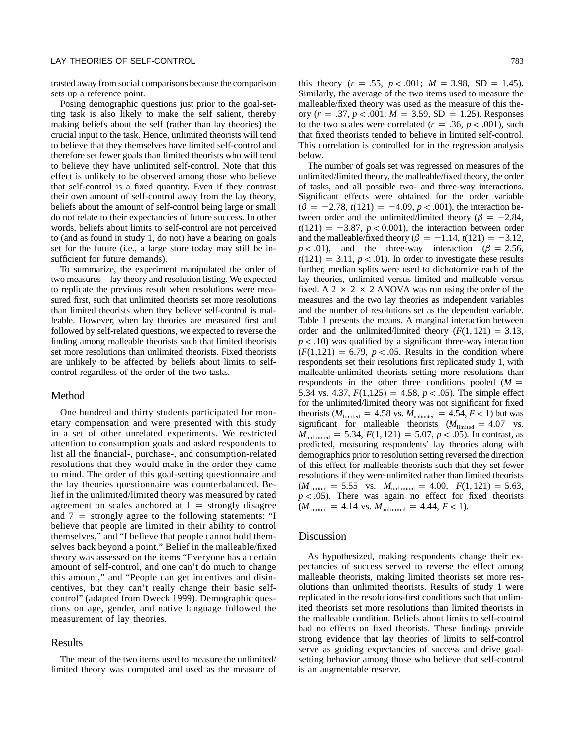trasted away from social comparisons because the comparison sets up a reference point.

Posing demographic questions just prior to the goal-setting task is also likely to make the self salient, thereby making beliefs about the self (rather than lay theories) the crucial input to the task. Hence, unlimited theorists will tend to believe that they themselves have limited self-control and therefore set fewer goals than limited theorists who will tend to believe they have unlimited self-control. Note that this effect is unlikely to be observed among those who believe that self-control is a fixed quantity. Even if they contrast their own amount of self-control away from the lay theory, beliefs about the amount of self-control being large or small do not relate to their expectancies of future success. In other words, beliefs about limits to self-control are not perceived to (and as found in study 1, do not) have a bearing on goals set for the future (i.e., a large store today may still be insufficient for future demands).

To summarize, the experiment manipulated the order of two measures—lay theory and resolution listing. We expected to replicate the previous result when resolutions were measured first, such that unlimited theorists set more resolutions than limited theorists when they believe self-control is malleable. However, when lay theories are measured first and followed by self-related questions, we expected to reverse the finding among malleable theorists such that limited theorists set more resolutions than unlimited theorists. Fixed theorists are unlikely to be affected by beliefs about limits to selfcontrol regardless of the order of the two tasks.

#### Method

One hundred and thirty students participated for monetary compensation and were presented with this study in a set of other unrelated experiments. We restricted attention to consumption goals and asked respondents to list all the financial-, purchase-, and consumption-related resolutions that they would make in the order they came to mind. The order of this goal-setting questionnaire and the lay theories questionnaire was counterbalanced. Belief in the unlimited/limited theory was measured by rated agreement on scales anchored at  $1 =$  strongly disagree and  $7 =$  strongly agree to the following statements: "I believe that people are limited in their ability to control themselves," and "I believe that people cannot hold themselves back beyond a point." Belief in the malleable/fixed theory was assessed on the items "Everyone has a certain amount of self-control, and one can't do much to change this amount," and "People can get incentives and disincentives, but they can't really change their basic selfcontrol" (adapted from Dweck 1999). Demographic questions on age, gender, and native language followed the measurement of lay theories.

#### Results

The mean of the two items used to measure the unlimited/ limited theory was computed and used as the measure of this theory ( $r = .55$ ,  $p < .001$ ;  $M = 3.98$ , SD = 1.45). Similarly, the average of the two items used to measure the malleable/fixed theory was used as the measure of this theory ( $r = .37$ ,  $p < .001$ ;  $M = 3.59$ , SD = 1.25). Responses to the two scales were correlated  $(r = .36, p < .001)$ , such that fixed theorists tended to believe in limited self-control. This correlation is controlled for in the regression analysis below.

The number of goals set was regressed on measures of the unlimited/limited theory, the malleable/fixed theory, the order of tasks, and all possible two- and three-way interactions. Significant effects were obtained for the order variable  $(\beta = -2.78, t(121) = -4.09, p < .001)$ , the interaction between order and the unlimited/limited theory ( $\beta = -2.84$ ,  $t(121) = -3.87$ ,  $p < 0.001$ ), the interaction between order and the malleable/fixed theory ( $\beta = -1.14$ ,  $t(121) = -3.12$ ,  $p < .01$ ), and the three-way interaction ( $\beta = 2.56$ ,  $t(121) = 3.11$ ,  $p < .01$ ). In order to investigate these results further, median splits were used to dichotomize each of the lay theories, unlimited versus limited and malleable versus fixed. A 2  $\times$  2  $\times$  2 ANOVA was run using the order of the measures and the two lay theories as independent variables and the number of resolutions set as the dependent variable. Table 1 presents the means. A marginal interaction between order and the unlimited/limited theory  $(F(1, 121) = 3.13$ ,  $p < .10$ ) was qualified by a significant three-way interaction  $(F(1, 121) = 6.79, p < .05$ . Results in the condition where respondents set their resolutions first replicated study 1, with malleable-unlimited theorists setting more resolutions than respondents in the other three conditions pooled  $(M =$ 5.34 vs. 4.37,  $F(1,125) = 4.58$ ,  $p < .05$ ). The simple effect for the unlimited/limited theory was not significant for fixed theorists ( $M<sub>limited</sub> = 4.58$  *vs.*  $M<sub>unlimited</sub> = 4.54, F < 1$ ) but was significant for malleable theorists  $(M<sub>limited</sub> = 4.07$  vs.  $M_{\text{unlimited}} = 5.34, F(1, 121) = 5.07, p < .05$ ). In contrast, as predicted, measuring respondents' lay theories along with demographics prior to resolution setting reversed the direction of this effect for malleable theorists such that they set fewer resolutions if they were unlimited rather than limited theorists  $(M_{\text{limited}} = 5.55$  vs.  $M_{\text{unlimited}} = 4.00, F(1, 121) = 5.63,$  $p < .05$ ). There was again no effect for fixed theorists  $(M<sub>limited</sub> = 4.14$  vs.  $M<sub>unlimited</sub> = 4.44, F < 1$ .

#### Discussion

As hypothesized, making respondents change their expectancies of success served to reverse the effect among malleable theorists, making limited theorists set more resolutions than unlimited theorists. Results of study 1 were replicated in the resolutions-first conditions such that unlimited theorists set more resolutions than limited theorists in the malleable condition. Beliefs about limits to self-control had no effects on fixed theorists. These findings provide strong evidence that lay theories of limits to self-control serve as guiding expectancies of success and drive goalsetting behavior among those who believe that self-control is an augmentable reserve.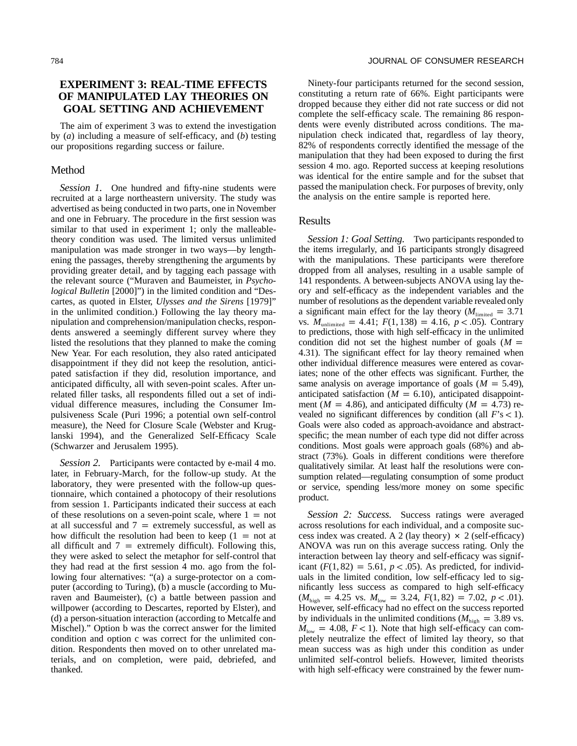## **EXPERIMENT 3: REAL-TIME EFFECTS OF MANIPULATED LAY THEORIES ON GOAL SETTING AND ACHIEVEMENT**

The aim of experiment 3 was to extend the investigation by (*a*) including a measure of self-efficacy, and (*b*) testing our propositions regarding success or failure.

## Method

*Session 1.* One hundred and fifty-nine students were recruited at a large northeastern university. The study was advertised as being conducted in two parts, one in November and one in February. The procedure in the first session was similar to that used in experiment 1; only the malleabletheory condition was used. The limited versus unlimited manipulation was made stronger in two ways—by lengthening the passages, thereby strengthening the arguments by providing greater detail, and by tagging each passage with the relevant source ("Muraven and Baumeister, in *Psychological Bulletin* [2000]") in the limited condition and "Descartes, as quoted in Elster, *Ulysses and the Sirens* [1979]" in the unlimited condition.) Following the lay theory manipulation and comprehension/manipulation checks, respondents answered a seemingly different survey where they listed the resolutions that they planned to make the coming New Year. For each resolution, they also rated anticipated disappointment if they did not keep the resolution, anticipated satisfaction if they did, resolution importance, and anticipated difficulty, all with seven-point scales. After unrelated filler tasks, all respondents filled out a set of individual difference measures, including the Consumer Impulsiveness Scale (Puri 1996; a potential own self-control measure), the Need for Closure Scale (Webster and Kruglanski 1994), and the Generalized Self-Efficacy Scale (Schwarzer and Jerusalem 1995).

*Session 2.* Participants were contacted by e-mail 4 mo. later, in February-March, for the follow-up study. At the laboratory, they were presented with the follow-up questionnaire, which contained a photocopy of their resolutions from session 1. Participants indicated their success at each of these resolutions on a seven-point scale, where  $1 = not$ at all successful and  $7 =$  extremely successful, as well as how difficult the resolution had been to keep  $(1 = not at$ all difficult and  $7 =$  extremely difficult). Following this, they were asked to select the metaphor for self-control that they had read at the first session 4 mo. ago from the following four alternatives: "(a) a surge-protector on a computer (according to Turing), (b) a muscle (according to Muraven and Baumeister), (c) a battle between passion and willpower (according to Descartes, reported by Elster), and (d) a person-situation interaction (according to Metcalfe and Mischel)." Option b was the correct answer for the limited condition and option c was correct for the unlimited condition. Respondents then moved on to other unrelated materials, and on completion, were paid, debriefed, and thanked.

Ninety-four participants returned for the second session, constituting a return rate of 66%. Eight participants were dropped because they either did not rate success or did not complete the self-efficacy scale. The remaining 86 respondents were evenly distributed across conditions. The manipulation check indicated that, regardless of lay theory, 82% of respondents correctly identified the message of the manipulation that they had been exposed to during the first session 4 mo. ago. Reported success at keeping resolutions was identical for the entire sample and for the subset that passed the manipulation check. For purposes of brevity, only the analysis on the entire sample is reported here.

#### Results

*Session 1: Goal Setting.* Two participants responded to the items irregularly, and 16 participants strongly disagreed with the manipulations. These participants were therefore dropped from all analyses, resulting in a usable sample of 141 respondents. A between-subjects ANOVA using lay theory and self-efficacy as the independent variables and the number of resolutions as the dependent variable revealed only a significant main effect for the lay theory ( $M_{\text{limited}} = 3.71$ ) vs.  $M_{\text{unlimited}} = 4.41$ ;  $F(1, 138) = 4.16$ ,  $p < .05$ ). Contrary to predictions, those with high self-efficacy in the unlimited condition did not set the highest number of goals  $(M =$ 4.31). The significant effect for lay theory remained when other individual difference measures were entered as covariates; none of the other effects was significant. Further, the same analysis on average importance of goals  $(M = 5.49)$ , anticipated satisfaction  $(M = 6.10)$ , anticipated disappointment ( $M = 4.86$ ), and anticipated difficulty ( $M = 4.73$ ) revealed no significant differences by condition (all  $F$ 's < 1). Goals were also coded as approach-avoidance and abstractspecific; the mean number of each type did not differ across conditions. Most goals were approach goals (68%) and abstract (73%). Goals in different conditions were therefore qualitatively similar. At least half the resolutions were consumption related—regulating consumption of some product or service, spending less/more money on some specific product.

*Session 2: Success.* Success ratings were averaged across resolutions for each individual, and a composite success index was created. A 2 (lay theory)  $\times$  2 (self-efficacy) ANOVA was run on this average success rating. Only the interaction between lay theory and self-efficacy was significant  $(F(1, 82) = 5.61, p < .05)$ . As predicted, for individuals in the limited condition, low self-efficacy led to significantly less success as compared to high self-efficacy  $(M_{\text{high}} = 4.25 \text{ vs. } M_{\text{low}} = 3.24, F(1, 82) = 7.02, p < .01).$ However, self-efficacy had no effect on the success reported by individuals in the unlimited conditions ( $M_{\text{high}} = 3.89$  vs.  $M_{\text{low}} = 4.08, F < 1$ ). Note that high self-efficacy can completely neutralize the effect of limited lay theory, so that mean success was as high under this condition as under unlimited self-control beliefs. However, limited theorists with high self-efficacy were constrained by the fewer num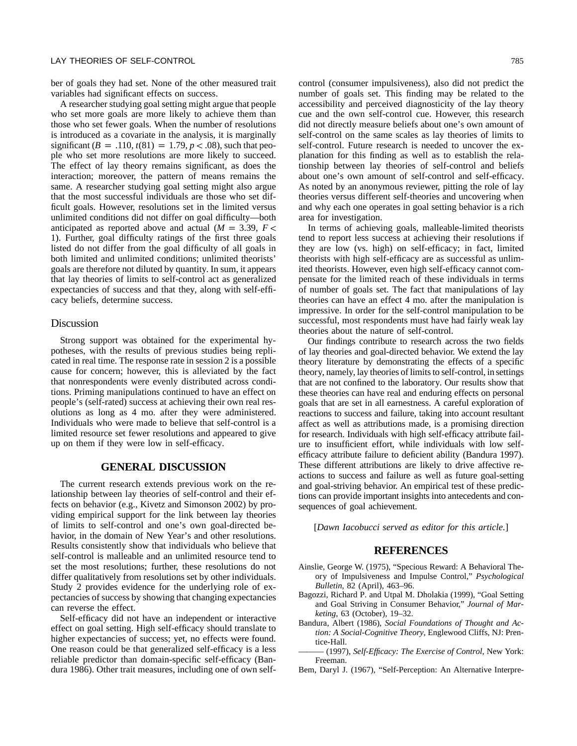ber of goals they had set. None of the other measured trait variables had significant effects on success.

A researcher studying goal setting might argue that people who set more goals are more likely to achieve them than those who set fewer goals. When the number of resolutions is introduced as a covariate in the analysis, it is marginally significant ( $B = .110$ ,  $t(81) = 1.79$ ,  $p < .08$ ), such that people who set more resolutions are more likely to succeed. The effect of lay theory remains significant, as does the interaction; moreover, the pattern of means remains the same. A researcher studying goal setting might also argue that the most successful individuals are those who set difficult goals. However, resolutions set in the limited versus unlimited conditions did not differ on goal difficulty—both anticipated as reported above and actual  $(M = 3.39, F <$ 1). Further, goal difficulty ratings of the first three goals listed do not differ from the goal difficulty of all goals in both limited and unlimited conditions; unlimited theorists' goals are therefore not diluted by quantity. In sum, it appears that lay theories of limits to self-control act as generalized expectancies of success and that they, along with self-efficacy beliefs, determine success.

#### Discussion

Strong support was obtained for the experimental hypotheses, with the results of previous studies being replicated in real time. The response rate in session 2 is a possible cause for concern; however, this is alleviated by the fact that nonrespondents were evenly distributed across conditions. Priming manipulations continued to have an effect on people's (self-rated) success at achieving their own real resolutions as long as 4 mo. after they were administered. Individuals who were made to believe that self-control is a limited resource set fewer resolutions and appeared to give up on them if they were low in self-efficacy.

## **GENERAL DISCUSSION**

The current research extends previous work on the relationship between lay theories of self-control and their effects on behavior (e.g., Kivetz and Simonson 2002) by providing empirical support for the link between lay theories of limits to self-control and one's own goal-directed behavior, in the domain of New Year's and other resolutions. Results consistently show that individuals who believe that self-control is malleable and an unlimited resource tend to set the most resolutions; further, these resolutions do not differ qualitatively from resolutions set by other individuals. Study 2 provides evidence for the underlying role of expectancies of success by showing that changing expectancies can reverse the effect.

Self-efficacy did not have an independent or interactive effect on goal setting. High self-efficacy should translate to higher expectancies of success; yet, no effects were found. One reason could be that generalized self-efficacy is a less reliable predictor than domain-specific self-efficacy (Bandura 1986). Other trait measures, including one of own selfcontrol (consumer impulsiveness), also did not predict the number of goals set. This finding may be related to the accessibility and perceived diagnosticity of the lay theory cue and the own self-control cue. However, this research did not directly measure beliefs about one's own amount of self-control on the same scales as lay theories of limits to self-control. Future research is needed to uncover the explanation for this finding as well as to establish the relationship between lay theories of self-control and beliefs about one's own amount of self-control and self-efficacy. As noted by an anonymous reviewer, pitting the role of lay theories versus different self-theories and uncovering when and why each one operates in goal setting behavior is a rich area for investigation.

In terms of achieving goals, malleable-limited theorists tend to report less success at achieving their resolutions if they are low (vs. high) on self-efficacy; in fact, limited theorists with high self-efficacy are as successful as unlimited theorists. However, even high self-efficacy cannot compensate for the limited reach of these individuals in terms of number of goals set. The fact that manipulations of lay theories can have an effect 4 mo. after the manipulation is impressive. In order for the self-control manipulation to be successful, most respondents must have had fairly weak lay theories about the nature of self-control.

Our findings contribute to research across the two fields of lay theories and goal-directed behavior. We extend the lay theory literature by demonstrating the effects of a specific theory, namely, lay theories of limits to self-control, in settings that are not confined to the laboratory. Our results show that these theories can have real and enduring effects on personal goals that are set in all earnestness. A careful exploration of reactions to success and failure, taking into account resultant affect as well as attributions made, is a promising direction for research. Individuals with high self-efficacy attribute failure to insufficient effort, while individuals with low selfefficacy attribute failure to deficient ability (Bandura 1997). These different attributions are likely to drive affective reactions to success and failure as well as future goal-setting and goal-striving behavior. An empirical test of these predictions can provide important insights into antecedents and consequences of goal achievement.

[*Dawn Iacobucci served as editor for this article.*]

#### **REFERENCES**

- Ainslie, George W. (1975), "Specious Reward: A Behavioral Theory of Impulsiveness and Impulse Control," *Psychological Bulletin*, 82 (April), 463–96.
- Bagozzi, Richard P. and Utpal M. Dholakia (1999), "Goal Setting and Goal Striving in Consumer Behavior," *Journal of Marketing*, 63 (October), 19–32.
- Bandura, Albert (1986), *Social Foundations of Thought and Action: A Social-Cognitive Theory*, Englewood Cliffs, NJ: Prentice-Hall.
	- ——— (1997), *Self-Efficacy: The Exercise of Control*, New York: Freeman.
- Bem, Daryl J. (1967), "Self-Perception: An Alternative Interpre-